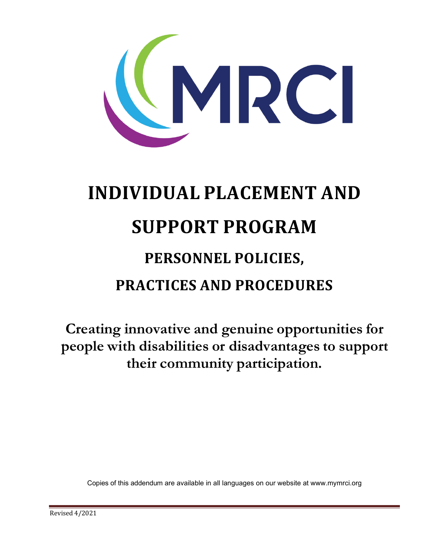

# **INDIVIDUAL PLACEMENT AND SUPPORT PROGRAM PERSONNEL POLICIES, PRACTICES AND PROCEDURES**

**Creating innovative and genuine opportunities for people with disabilities or disadvantages to support their community participation.**

Copies of this addendum are available in all languages on our website at www.mymrci.org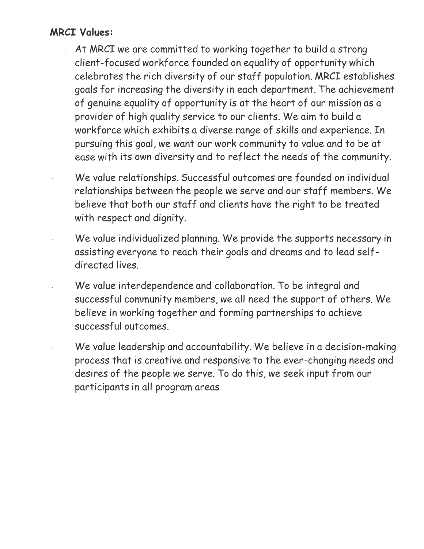### **MRCI Values:**

- At MRCI we are committed to working together to build a strong client-focused workforce founded on equality of opportunity which celebrates the rich diversity of our staff population. MRCI establishes goals for increasing the diversity in each department. The achievement of genuine equality of opportunity is at the heart of our mission as a provider of high quality service to our clients. We aim to build a workforce which exhibits a diverse range of skills and experience. In pursuing this goal, we want our work community to value and to be at ease with its own diversity and to reflect the needs of the community.
	- We value relationships. Successful outcomes are founded on individual relationships between the people we serve and our staff members. We believe that both our staff and clients have the right to be treated with respect and dignity.
	- We value individualized planning. We provide the supports necessary in assisting everyone to reach their goals and dreams and to lead selfdirected lives.
- We value interdependence and collaboration. To be integral and successful community members, we all need the support of others. We believe in working together and forming partnerships to achieve successful outcomes.
- We value leadership and accountability. We believe in a decision-making process that is creative and responsive to the ever-changing needs and desires of the people we serve. To do this, we seek input from our participants in all program areas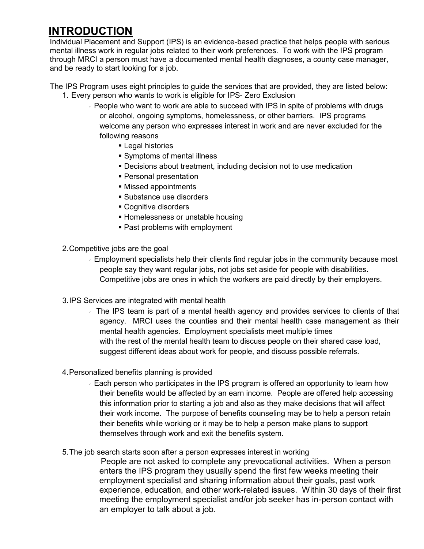## **INTRODUCTION**

Individual Placement and Support (IPS) is an evidence-based practice that helps people with serious mental illness work in regular jobs related to their work preferences. To work with the IPS program through MRCI a person must have a documented mental health diagnoses, a county case manager, and be ready to start looking for a job.

The IPS Program uses eight principles to guide the services that are provided, they are listed below: 1. Every person who wants to work is eligible for IPS- Zero Exclusion

- People who want to work are able to succeed with IPS in spite of problems with drugs or alcohol, ongoing symptoms, homelessness, or other barriers. IPS programs welcome any person who expresses interest in work and are never excluded for the following reasons
	- **Legal histories**
	- Symptoms of mental illness
	- Decisions about treatment, including decision not to use medication
	- Personal presentation
	- Missed appointments
	- Substance use disorders
	- **Cognitive disorders**
	- **Homelessness or unstable housing**
	- **Past problems with employment**
- 2.Competitive jobs are the goal
	- Employment specialists help their clients find regular jobs in the community because most people say they want regular jobs, not jobs set aside for people with disabilities. Competitive jobs are ones in which the workers are paid directly by their employers.
- 3.IPS Services are integrated with mental health
	- The IPS team is part of a mental health agency and provides services to clients of that agency. MRCI uses the counties and their mental health case management as their mental health agencies. Employment specialists meet multiple times with the rest of the mental health team to discuss people on their shared case load, suggest different ideas about work for people, and discuss possible referrals.
- 4.Personalized benefits planning is provided
	- Each person who participates in the IPS program is offered an opportunity to learn how their benefits would be affected by an earn income. People are offered help accessing this information prior to starting a job and also as they make decisions that will affect their work income. The purpose of benefits counseling may be to help a person retain their benefits while working or it may be to help a person make plans to support themselves through work and exit the benefits system.
- 5.The job search starts soon after a person expresses interest in working

People are not asked to complete any prevocational activities. When a person enters the IPS program they usually spend the first few weeks meeting their employment specialist and sharing information about their goals, past work experience, education, and other work-related issues. Within 30 days of their first meeting the employment specialist and/or job seeker has in-person contact with an employer to talk about a job.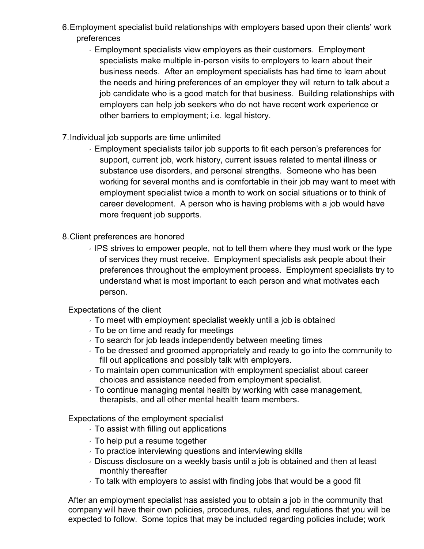- 6.Employment specialist build relationships with employers based upon their clients' work preferences
	- Employment specialists view employers as their customers. Employment specialists make multiple in-person visits to employers to learn about their business needs. After an employment specialists has had time to learn about the needs and hiring preferences of an employer they will return to talk about a job candidate who is a good match for that business. Building relationships with employers can help job seekers who do not have recent work experience or other barriers to employment; i.e. legal history.
- 7.Individual job supports are time unlimited
	- Employment specialists tailor job supports to fit each person's preferences for support, current job, work history, current issues related to mental illness or substance use disorders, and personal strengths. Someone who has been working for several months and is comfortable in their job may want to meet with employment specialist twice a month to work on social situations or to think of career development. A person who is having problems with a job would have more frequent job supports.
- 8.Client preferences are honored
	- $\sqrt{1}$  IPS strives to empower people, not to tell them where they must work or the type of services they must receive. Employment specialists ask people about their preferences throughout the employment process. Employment specialists try to understand what is most important to each person and what motivates each person.
	- Expectations of the client
		- To meet with employment specialist weekly until a job is obtained
		- $\sqrt{10}$  be on time and ready for meetings
		- To search for job leads independently between meeting times
		- To be dressed and groomed appropriately and ready to go into the community to fill out applications and possibly talk with employers.
		- To maintain open communication with employment specialist about career choices and assistance needed from employment specialist.
		- To continue managing mental health by working with case management, therapists, and all other mental health team members.

Expectations of the employment specialist

- $\sqrt{ }$  To assist with filling out applications
- $\sqrt{ }$  To help put a resume together
- To practice interviewing questions and interviewing skills
- Discuss disclosure on a weekly basis until a job is obtained and then at least monthly thereafter
- To talk with employers to assist with finding jobs that would be a good fit

After an employment specialist has assisted you to obtain a job in the community that company will have their own policies, procedures, rules, and regulations that you will be expected to follow. Some topics that may be included regarding policies include; work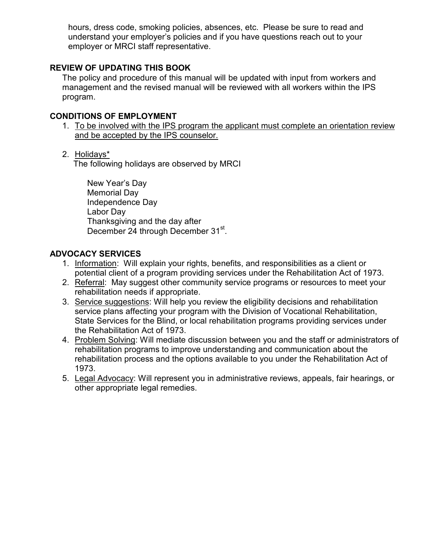hours, dress code, smoking policies, absences, etc. Please be sure to read and understand your employer's policies and if you have questions reach out to your employer or MRCI staff representative.

#### **REVIEW OF UPDATING THIS BOOK**

The policy and procedure of this manual will be updated with input from workers and management and the revised manual will be reviewed with all workers within the IPS program.

#### **CONDITIONS OF EMPLOYMENT**

- 1. To be involved with the IPS program the applicant must complete an orientation review and be accepted by the IPS counselor.
- 2. Holidays\*

The following holidays are observed by MRCI

New Year's Day Memorial Day Independence Day Labor Day Thanksgiving and the day after December 24 through December 31st.

#### **ADVOCACY SERVICES**

- 1. Information: Will explain your rights, benefits, and responsibilities as a client or potential client of a program providing services under the Rehabilitation Act of 1973.
- 2. Referral: May suggest other community service programs or resources to meet your rehabilitation needs if appropriate.
- 3. Service suggestions: Will help you review the eligibility decisions and rehabilitation service plans affecting your program with the Division of Vocational Rehabilitation, State Services for the Blind, or local rehabilitation programs providing services under the Rehabilitation Act of 1973.
- 4. Problem Solving: Will mediate discussion between you and the staff or administrators of rehabilitation programs to improve understanding and communication about the rehabilitation process and the options available to you under the Rehabilitation Act of 1973.
- 5. Legal Advocacy: Will represent you in administrative reviews, appeals, fair hearings, or other appropriate legal remedies.